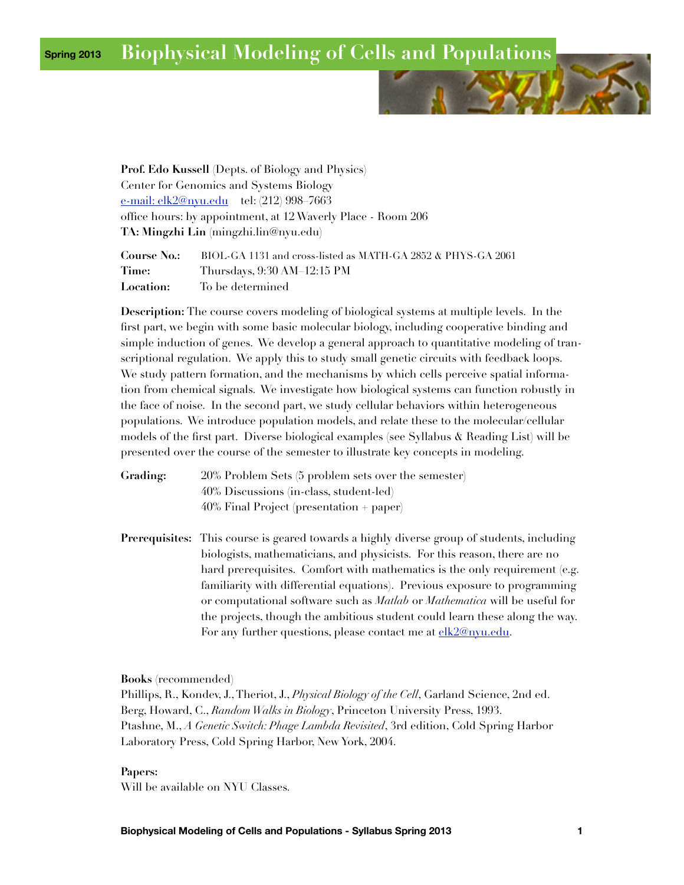### **Spring 2013 Biophysical Modeling of Cells and Populations**



**Prof. Edo Kussell** (Depts. of Biology and Physics) Center for Genomics and Systems Biology [e-mail: elk2@nyu.edu](mailto:elk2@nyu.edu) tel: (212) 998–7663 office hours: by appointment, at 12 Waverly Place - Room 206 **TA: Mingzhi Lin** (mingzhi.lin@nyu.edu)

| <b>Course No.:</b> | BIOL-GA 1131 and cross-listed as MATH-GA 2852 & PHYS-GA 2061 |
|--------------------|--------------------------------------------------------------|
| Time:              | Thursdays, 9:30 AM 12:15 PM                                  |
| <b>Location:</b>   | To be determined                                             |

**Description:** The course covers modeling of biological systems at multiple levels. In the first part, we begin with some basic molecular biology, including cooperative binding and simple induction of genes. We develop a general approach to quantitative modeling of transcriptional regulation. We apply this to study small genetic circuits with feedback loops. We study pattern formation, and the mechanisms by which cells perceive spatial information from chemical signals. We investigate how biological systems can function robustly in the face of noise. In the second part, we study cellular behaviors within heterogeneous populations. We introduce population models, and relate these to the molecular/cellular models of the first part. Diverse biological examples (see Syllabus & Reading List) will be presented over the course of the semester to illustrate key concepts in modeling.

**Grading:** 20% Problem Sets (5 problem sets over the semester) 40% Discussions (in-class, student-led) 40% Final Project (presentation + paper)

**Prerequisites:** This course is geared towards a highly diverse group of students, including biologists, mathematicians, and physicists. For this reason, there are no hard prerequisites. Comfort with mathematics is the only requirement (e.g. familiarity with differential equations). Previous exposure to programming or computational software such as *Matlab* or *Mathematica* will be useful for the projects, though the ambitious student could learn these along the way. For any further questions, please contact me at [elk2@nyu.edu](mailto:elk2@nyu.edu).

**Books** (recommended)

Phillips, R., Kondev, J., Theriot, J., *Physical Biology of the Cell*, Garland Science, 2nd ed. Berg, Howard, C., *Random Walks in Biology*, Princeton University Press, 1993. Ptashne, M., *A Genetic Switch: Phage Lambda Revisited*, 3rd edition, Cold Spring Harbor Laboratory Press, Cold Spring Harbor, New York, 2004.

#### **Papers:**

Will be available on NYU Classes.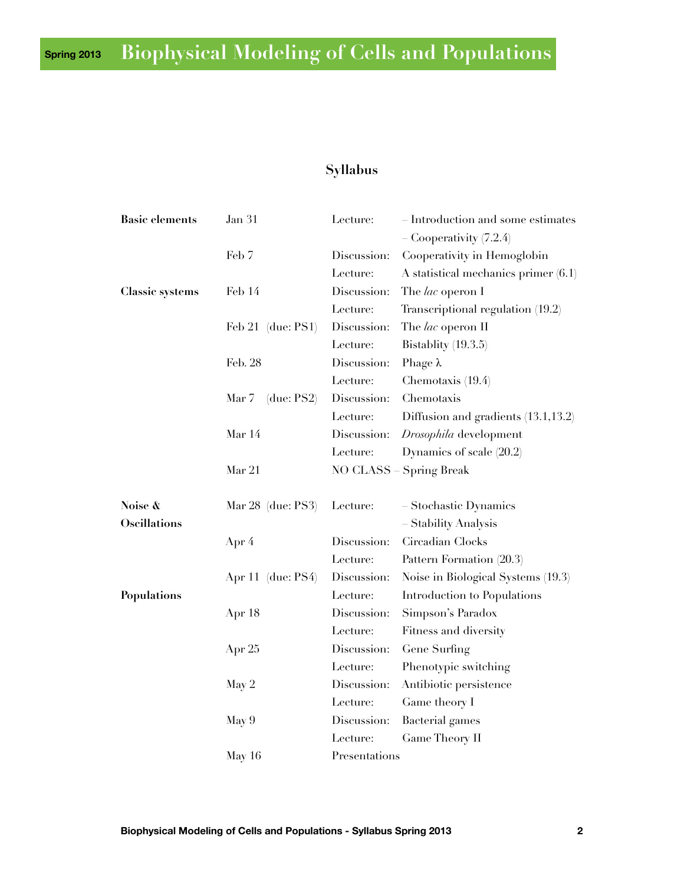## **Spring 2013 Biophysical Modeling of Cells and Populations**

# **Syllabus**

| <b>Basic elements</b>  | Jan 31                 | Lecture:        | Introduction and some estimates        |
|------------------------|------------------------|-----------------|----------------------------------------|
|                        |                        |                 | Cooperativity (7.2.4)                  |
|                        | Feb 7                  | Discussion:     | Cooperativity in Hemoglobin            |
|                        |                        | Lecture:        | A statistical mechanics primer $(6.1)$ |
| <b>Classic systems</b> | Feb 14                 | Discussion:     | The lac operon I                       |
|                        |                        | Lecture:        | Transcriptional regulation (19.2)      |
|                        | Feb $21$ (due: PS1)    | Discussion:     | The lac operon II                      |
|                        |                        | Lecture:        | Bistablity $(19.3.5)$                  |
|                        | Feb. 28                | Discussion:     | Phage $\lambda$                        |
|                        |                        | Lecture:        | Chemotaxis (19.4)                      |
|                        | Mar 7<br>(due: $PS2$ ) | Discussion:     | Chemotaxis                             |
|                        |                        | Lecture:        | Diffusion and gradients (13.1,13.2)    |
|                        | Mar 14                 | Discussion:     | Drosophila development                 |
|                        |                        | Lecture:        | Dynamics of scale $(20.2)$             |
|                        | Mar 21                 | <b>NO CLASS</b> | <b>Spring Break</b>                    |
| Noise &                | Mar 28 (due: PS3)      | Lecture:        | Stochastic Dynamics                    |
| <b>Oscillations</b>    |                        |                 | <b>Stability Analysis</b>              |
|                        | Apr 4                  | Discussion:     | Circadian Clocks                       |
|                        |                        | Lecture:        | Pattern Formation (20.3)               |
|                        |                        | Discussion:     | Noise in Biological Systems (19.3)     |
|                        | Apr 11 (due: PS4)      | Lecture:        | Introduction to Populations            |
| Populations            | Apr 18                 | Discussion:     | Simpson's Paradox                      |
|                        |                        | Lecture:        | Fitness and diversity                  |
|                        | Apr 25                 | Discussion:     | Gene Surfing                           |
|                        |                        | Lecture:        | Phenotypic switching                   |
|                        | May 2                  | Discussion:     | Antibiotic persistence                 |
|                        |                        | Lecture:        | Game theory I                          |
|                        |                        | Discussion:     |                                        |
|                        | May 9                  | Lecture:        | Bacterial games<br>Game Theory II      |
|                        |                        |                 |                                        |
|                        | May $16$               | Presentations   |                                        |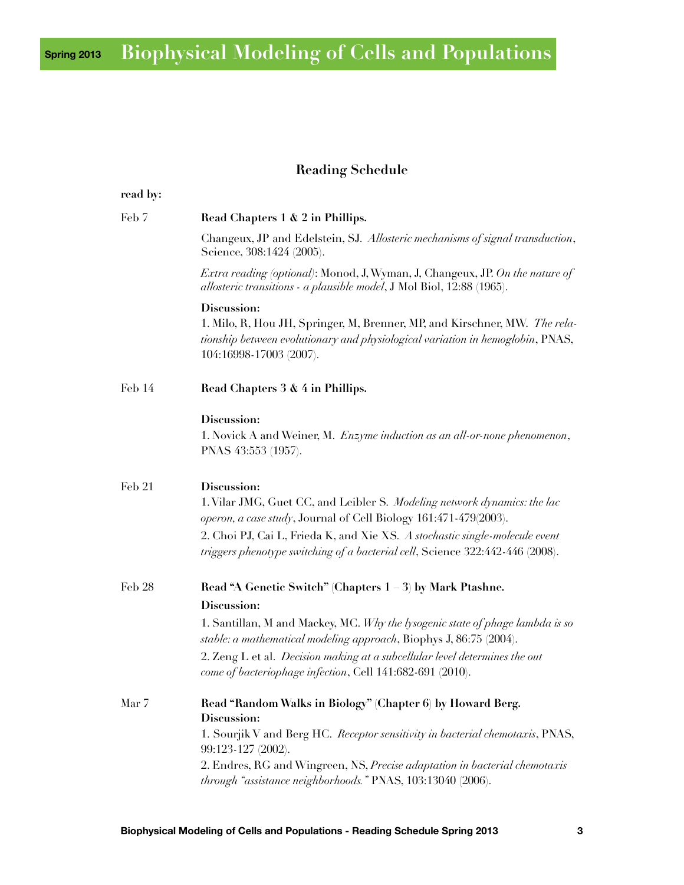## **Spring 2013 Biophysical Modeling of Cells and Populations**

## **Reading Schedule**

| read by: |                                                                                                                                                                                                                                                                                                                                                                                            |
|----------|--------------------------------------------------------------------------------------------------------------------------------------------------------------------------------------------------------------------------------------------------------------------------------------------------------------------------------------------------------------------------------------------|
| Feb 7    | Read Chapters 1 & 2 in Phillips.                                                                                                                                                                                                                                                                                                                                                           |
|          | Changeux, JP and Edelstein, SJ. Allosteric mechanisms of signal transduction,<br>Science, 308:1424 (2005).                                                                                                                                                                                                                                                                                 |
|          | <i>Extra reading (optional)</i> : Monod, J, Wyman, J, Changeux, JP. On the nature of<br>allosteric transitions - a plausible model, J Mol Biol, 12:88 (1965).                                                                                                                                                                                                                              |
|          | Discussion:<br>1. Milo, R, Hou JH, Springer, M, Brenner, MP, and Kirschner, MW. The rela-<br>tionship between evolutionary and physiological variation in hemoglobin, PNAS,<br>104:16998-17003 (2007).                                                                                                                                                                                     |
| Feb 14   | Read Chapters 3 & 4 in Phillips.                                                                                                                                                                                                                                                                                                                                                           |
|          | Discussion:<br>1. Novick A and Weiner, M. Enzyme induction as an all-or-none phenomenon,<br>PNAS 43:553 (1957).                                                                                                                                                                                                                                                                            |
| Feb 21   | Discussion:<br>1. Vilar JMG, Guet CC, and Leibler S. Modeling network dynamics: the lac<br>operon, a case study, Journal of Cell Biology 161:471-479(2003).<br>2. Choi PJ, Cai L, Frieda K, and Xie XS. A stochastic single-molecule event<br>triggers phenotype switching of a bacterial cell, Science 322:442-446 (2008).                                                                |
| Feb 28   | Read "A Genetic Switch" (Chapters 1<br>3) by Mark Ptashne.<br>Discussion:<br>1. Santillan, M and Mackey, MC. Why the lysogenic state of phage lambda is so<br>stable: a mathematical modeling approach, Biophys J, 86:75 (2004).<br>2. Zeng L et al. Decision making at a subcellular level determines the out                                                                             |
| Mar 7    | come of bacteriophage infection, Cell 141:682-691 (2010).<br>Read "Random Walks in Biology" (Chapter 6) by Howard Berg.<br>Discussion:<br>1. Sourjik V and Berg HC. Receptor sensitivity in bacterial chemotaxis, PNAS,<br>99:123-127 (2002).<br>2. Endres, RG and Wingreen, NS, Precise adaptation in bacterial chemotaxis<br>through "assistance neighborhoods." PNAS, 103:13040 (2006). |